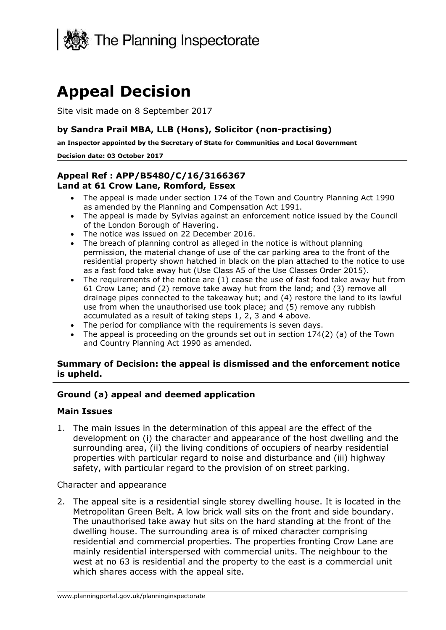

# **Appeal Decision**

Site visit made on 8 September 2017

# **by Sandra Prail MBA, LLB (Hons), Solicitor (non-practising)**

 **an Inspector appointed by the Secretary of State for Communities and Local Government** 

#### **Decision date: 03 October 2017**

# **Appeal Ref : APP/B5480/C/16/3166367 Land at 61 Crow Lane, Romford, Essex**

- The appeal is made under section 174 of the Town and Country Planning Act 1990 as amended by the Planning and Compensation Act 1991.
- The appeal is made by Sylvias against an enforcement notice issued by the Council of the London Borough of Havering.
- The notice was issued on 22 December 2016.
- permission, the material change of use of the car parking area to the front of the • The breach of planning control as alleged in the notice is without planning residential property shown hatched in black on the plan attached to the notice to use as a fast food take away hut (Use Class A5 of the Use Classes Order 2015).
- The requirements of the notice are (1) cease the use of fast food take away hut from 61 Crow Lane; and (2) remove take away hut from the land; and (3) remove all drainage pipes connected to the takeaway hut; and (4) restore the land to its lawful use from when the unauthorised use took place; and (5) remove any rubbish accumulated as a result of taking steps 1, 2, 3 and 4 above.
- The period for compliance with the requirements is seven days.
- The appeal is proceeding on the grounds set out in section  $174(2)$  (a) of the Town and Country Planning Act 1990 as amended.

#### **Summary of Decision: the appeal is dismissed and the enforcement notice is upheld.**

## **Ground (a) appeal and deemed application**

#### **Main Issues**

 development on (i) the character and appearance of the host dwelling and the surrounding area, (ii) the living conditions of occupiers of nearby residential properties with particular regard to noise and disturbance and (iii) highway safety, with particular regard to the provision of on street parking. 1. The main issues in the determination of this appeal are the effect of the

Character and appearance

 2. The appeal site is a residential single storey dwelling house. It is located in the Metropolitan Green Belt. A low brick wall sits on the front and side boundary. The unauthorised take away hut sits on the hard standing at the front of the dwelling house. The surrounding area is of mixed character comprising residential and commercial properties. The properties fronting Crow Lane are mainly residential interspersed with commercial units. The neighbour to the west at no 63 is residential and the property to the east is a commercial unit which shares access with the appeal site.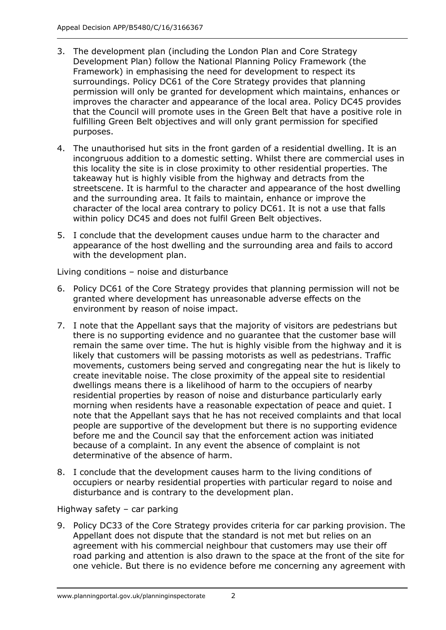- 3. The development plan (including the London Plan and Core Strategy Development Plan) follow the National Planning Policy Framework (the Framework) in emphasising the need for development to respect its surroundings. Policy DC61 of the Core Strategy provides that planning permission will only be granted for development which maintains, enhances or improves the character and appearance of the local area. Policy DC45 provides that the Council will promote uses in the Green Belt that have a positive role in fulfilling Green Belt objectives and will only grant permission for specified purposes.
- this locality the site is in close proximity to other residential properties. The takeaway hut is highly visible from the highway and detracts from the streetscene. It is harmful to the character and appearance of the host dwelling and the surrounding area. It fails to maintain, enhance or improve the character of the local area contrary to policy DC61. It is not a use that falls within policy DC45 and does not fulfil Green Belt objectives. 4. The unauthorised hut sits in the front garden of a residential dwelling. It is an incongruous addition to a domestic setting. Whilst there are commercial uses in
- 5. I conclude that the development causes undue harm to the character and appearance of the host dwelling and the surrounding area and fails to accord with the development plan.

Living conditions – noise and disturbance

- 6. Policy DC61 of the Core Strategy provides that planning permission will not be environment by reason of noise impact. granted where development has unreasonable adverse effects on the
- remain the same over time. The hut is highly visible from the highway and it is movements, customers being served and congregating near the hut is likely to create inevitable noise. The close proximity of the appeal site to residential residential properties by reason of noise and disturbance particularly early morning when residents have a reasonable expectation of peace and quiet. I note that the Appellant says that he has not received complaints and that local people are supportive of the development but there is no supporting evidence before me and the Council say that the enforcement action was initiated because of a complaint. In any event the absence of complaint is not determinative of the absence of harm. 7. I note that the Appellant says that the majority of visitors are pedestrians but there is no supporting evidence and no guarantee that the customer base will likely that customers will be passing motorists as well as pedestrians. Traffic dwellings means there is a likelihood of harm to the occupiers of nearby
- 8. I conclude that the development causes harm to the living conditions of occupiers or nearby residential properties with particular regard to noise and disturbance and is contrary to the development plan.

# Highway safety – car parking

 9. Policy DC33 of the Core Strategy provides criteria for car parking provision. The Appellant does not dispute that the standard is not met but relies on an agreement with his commercial neighbour that customers may use their off road parking and attention is also drawn to the space at the front of the site for one vehicle. But there is no evidence before me concerning any agreement with